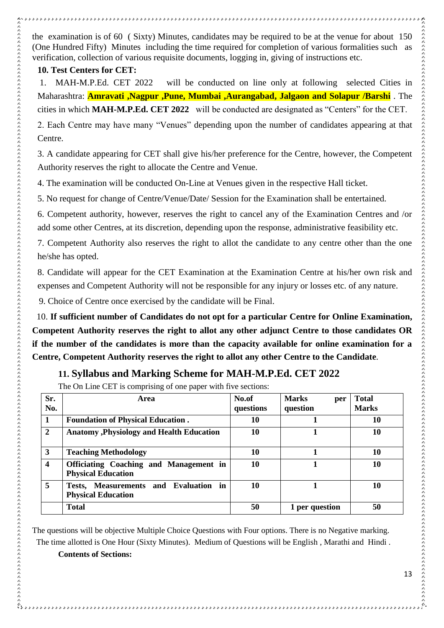## **10. Test Centers for CET:**

 $\mathcal{C}_{\lambda,\lambda,\lambda}$ 

1. MAH-M.P.Ed. CET 2022 will be conducted on line only at following selected Cities in Maharashtra: **Amravati ,Nagpur ,Pune, Mumbai ,Aurangabad, Jalgaon and Solapur /Barshi** . The cities in which **MAH-M.P.Ed. CET 2022** will be conducted are designated as "Centers" for the CET. 2. Each Centre may have many "Venues" depending upon the number of candidates appearing at that Centre.

3. A candidate appearing for CET shall give his/her preference for the Centre, however, the Competent Authority reserves the right to allocate the Centre and Venue.

4. The examination will be conducted On-Line at Venues given in the respective Hall ticket.

5. No request for change of Centre/Venue/Date/ Session for the Examination shall be entertained.

6. Competent authority, however, reserves the right to cancel any of the Examination Centres and /or add some other Centres, at its discretion, depending upon the response, administrative feasibility etc.

7. Competent Authority also reserves the right to allot the candidate to any centre other than the one he/she has opted.

8. Candidate will appear for the CET Examination at the Examination Centre at his/her own risk and expenses and Competent Authority will not be responsible for any injury or losses etc. of any nature.

9. Choice of Centre once exercised by the candidate will be Final.

 10. **If sufficient number of Candidates do not opt for a particular Centre for Online Examination, Competent Authority reserves the right to allot any other adjunct Centre to those candidates OR if the number of the candidates is more than the capacity available for online examination for a Centre, Competent Authority reserves the right to allot any other Centre to the Candidate**.

## **11. Syllabus and Marking Scheme for MAH-M.P.Ed. CET 2022**

The On Line CET is comprising of one paper with five sections:

| Sr.<br>No.       | Area                                                                       | No.of<br>questions | <b>Marks</b><br>per<br>question | <b>Total</b><br><b>Marks</b> |
|------------------|----------------------------------------------------------------------------|--------------------|---------------------------------|------------------------------|
| 1                | <b>Foundation of Physical Education.</b>                                   | 10                 |                                 | 10                           |
| $\overline{2}$   | <b>Anatomy , Physiology and Health Education</b>                           | 10                 |                                 | 10                           |
| 3                | <b>Teaching Methodology</b>                                                | 10                 |                                 | 10                           |
| $\boldsymbol{4}$ | <b>Officiating Coaching and Management in</b><br><b>Physical Education</b> | 10                 |                                 | 10                           |
| 5                | Tests, Measurements and Evaluation in<br><b>Physical Education</b>         | 10                 |                                 | 10                           |
|                  | <b>Total</b>                                                               | 50                 | 1 per question                  | 50                           |

The questions will be objective Multiple Choice Questions with Four options. There is no Negative marking. The time allotted is One Hour (Sixty Minutes). Medium of Questions will be English , Marathi and Hindi .

**Contents of Sections:**